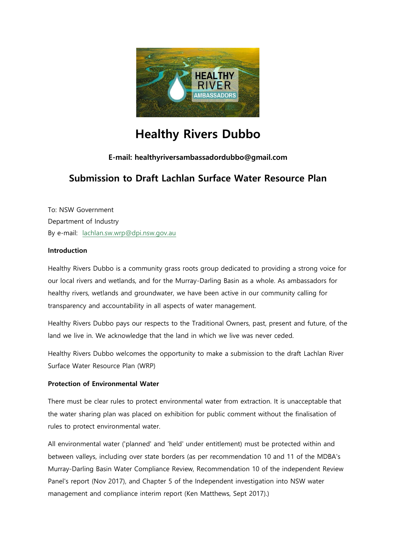

# **Healthy Rivers Dubbo**

# **E-mail: healthyriversambassadordubbo@gmail.com**

# **Submission to Draft Lachlan Surface Water Resource Plan**

To: NSW Government Department of Industry By e-mail: [lachlan.sw.wrp@dpi.nsw.gov.au](mailto:Lachlan.sw.wrp@dpi.nsw.gov.au?subject=Lachlan%20SW%20Water%20Resource%20Plan)

#### **Introduction**

Healthy Rivers Dubbo is a community grass roots group dedicated to providing a strong voice for our local rivers and wetlands, and for the Murray-Darling Basin as a whole. As ambassadors for healthy rivers, wetlands and groundwater, we have been active in our community calling for transparency and accountability in all aspects of water management.

Healthy Rivers Dubbo pays our respects to the Traditional Owners, past, present and future, of the land we live in. We acknowledge that the land in which we live was never ceded.

Healthy Rivers Dubbo welcomes the opportunity to make a submission to the draft Lachlan River Surface Water Resource Plan (WRP)

## **Protection of Environmental Water**

There must be clear rules to protect environmental water from extraction. It is unacceptable that the water sharing plan was placed on exhibition for public comment without the finalisation of rules to protect environmental water.

All environmental water ('planned' and 'held' under entitlement) must be protected within and between valleys, including over state borders (as per recommendation 10 and 11 of the MDBA's Murray-Darling Basin Water Compliance Review, Recommendation 10 of the independent Review Panel's report (Nov 2017), and Chapter 5 of the Independent investigation into NSW water management and compliance interim report (Ken Matthews, Sept 2017).)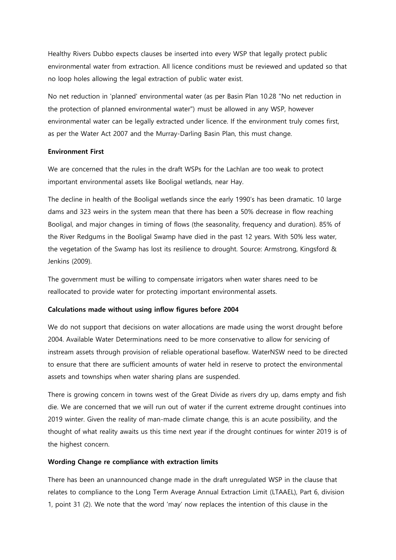Healthy Rivers Dubbo expects clauses be inserted into every WSP that legally protect public environmental water from extraction. All licence conditions must be reviewed and updated so that no loop holes allowing the legal extraction of public water exist.

No net reduction in 'planned' environmental water (as per Basin Plan 10.28 "No net reduction in the protection of planned environmental water") must be allowed in any WSP, however environmental water can be legally extracted under licence. If the environment truly comes first, as per the Water Act 2007 and the Murray-Darling Basin Plan, this must change.

#### **Environment First**

We are concerned that the rules in the draft WSPs for the Lachlan are too weak to protect important environmental assets like Booligal wetlands, near Hay.

The decline in health of the Booligal wetlands since the early 1990's has been dramatic. 10 large dams and 323 weirs in the system mean that there has been a 50% decrease in flow reaching Booligal, and major changes in timing of flows (the seasonality, frequency and duration). 85% of the River Redgums in the Booligal Swamp have died in the past 12 years. With 50% less water, the vegetation of the Swamp has lost its resilience to drought. Source: Armstrong, Kingsford & Jenkins (2009).

The government must be willing to compensate irrigators when water shares need to be reallocated to provide water for protecting important environmental assets.

#### **Calculations made without using inflow figures before 2004**

We do not support that decisions on water allocations are made using the worst drought before 2004. Available Water Determinations need to be more conservative to allow for servicing of instream assets through provision of reliable operational baseflow. WaterNSW need to be directed to ensure that there are sufficient amounts of water held in reserve to protect the environmental assets and townships when water sharing plans are suspended.

There is growing concern in towns west of the Great Divide as rivers dry up, dams empty and fish die. We are concerned that we will run out of water if the current extreme drought continues into 2019 winter. Given the reality of man-made climate change, this is an acute possibility, and the thought of what reality awaits us this time next year if the drought continues for winter 2019 is of the highest concern.

# **Wording Change re compliance with extraction limits**

There has been an unannounced change made in the draft unregulated WSP in the clause that relates to compliance to the Long Term Average Annual Extraction Limit (LTAAEL), Part 6, division 1, point 31 (2). We note that the word 'may' now replaces the intention of this clause in the